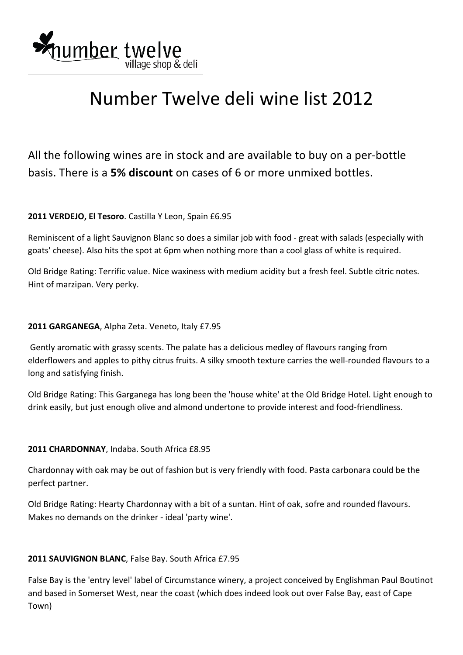

# Number Twelve deli wine list 2012

All the following wines are in stock and are available to buy on a per‐bottle basis. There is a **5% discount** on cases of 6 or more unmixed bottles.

## **2011 VERDEJO, El Tesoro**. Castilla Y Leon, Spain £6.95

Reminiscent of a light Sauvignon Blanc so does a similar job with food ‐ great with salads (especially with goats' cheese). Also hits the spot at 6pm when nothing more than a cool glass of white is required.

Old Bridge Rating: Terrific value. Nice waxiness with medium acidity but a fresh feel. Subtle citric notes. Hint of marzipan. Very perky.

### **2011 GARGANEGA**, Alpha Zeta. Veneto, Italy £7.95

 Gently aromatic with grassy scents. The palate has a delicious medley of flavours ranging from elderflowers and apples to pithy citrus fruits. A silky smooth texture carries the well‐rounded flavours to a long and satisfying finish.

Old Bridge Rating: This Garganega has long been the 'house white' at the Old Bridge Hotel. Light enough to drink easily, but just enough olive and almond undertone to provide interest and food‐friendliness.

### **2011 CHARDONNAY**, Indaba. South Africa £8.95

Chardonnay with oak may be out of fashion but is very friendly with food. Pasta carbonara could be the perfect partner.

Old Bridge Rating: Hearty Chardonnay with a bit of a suntan. Hint of oak, sofre and rounded flavours. Makes no demands on the drinker ‐ ideal 'party wine'.

### **2011 SAUVIGNON BLANC**, False Bay. South Africa £7.95

False Bay is the 'entry level' label of Circumstance winery, a project conceived by Englishman Paul Boutinot and based in Somerset West, near the coast (which does indeed look out over False Bay, east of Cape Town)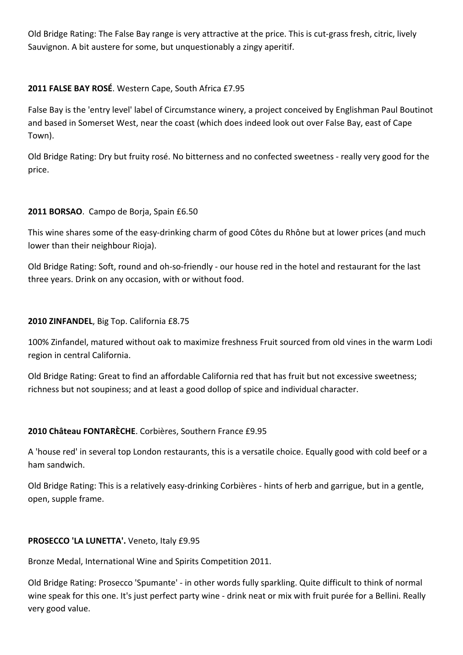Old Bridge Rating: The False Bay range is very attractive at the price. This is cut‐grass fresh, citric, lively Sauvignon. A bit austere for some, but unquestionably a zingy aperitif.

## **2011 FALSE BAY ROSÉ**. Western Cape, South Africa £7.95

False Bay is the 'entry level' label of Circumstance winery, a project conceived by Englishman Paul Boutinot and based in Somerset West, near the coast (which does indeed look out over False Bay, east of Cape Town).

Old Bridge Rating: Dry but fruity rosé. No bitterness and no confected sweetness ‐ really very good for the price.

### **2011 BORSAO**. Campo de Borja, Spain £6.50

This wine shares some of the easy-drinking charm of good Côtes du Rhône but at lower prices (and much lower than their neighbour Rioja).

Old Bridge Rating: Soft, round and oh‐so‐friendly ‐ our house red in the hotel and restaurant for the last three years. Drink on any occasion, with or without food.

### **2010 ZINFANDEL**, Big Top. California £8.75

100% Zinfandel, matured without oak to maximize freshness Fruit sourced from old vines in the warm Lodi region in central California.

Old Bridge Rating: Great to find an affordable California red that has fruit but not excessive sweetness; richness but not soupiness; and at least a good dollop of spice and individual character.

### **2010 Château FONTARÈCHE**. Corbières, Southern France £9.95

A 'house red' in several top London restaurants, this is a versatile choice. Equally good with cold beef or a ham sandwich.

Old Bridge Rating: This is a relatively easy‐drinking Corbières ‐ hints of herb and garrigue, but in a gentle, open, supple frame.

### **PROSECCO 'LA LUNETTA'.** Veneto, Italy £9.95

Bronze Medal, International Wine and Spirits Competition 2011.

Old Bridge Rating: Prosecco 'Spumante' ‐ in other words fully sparkling. Quite difficult to think of normal wine speak for this one. It's just perfect party wine - drink neat or mix with fruit purée for a Bellini. Really very good value.